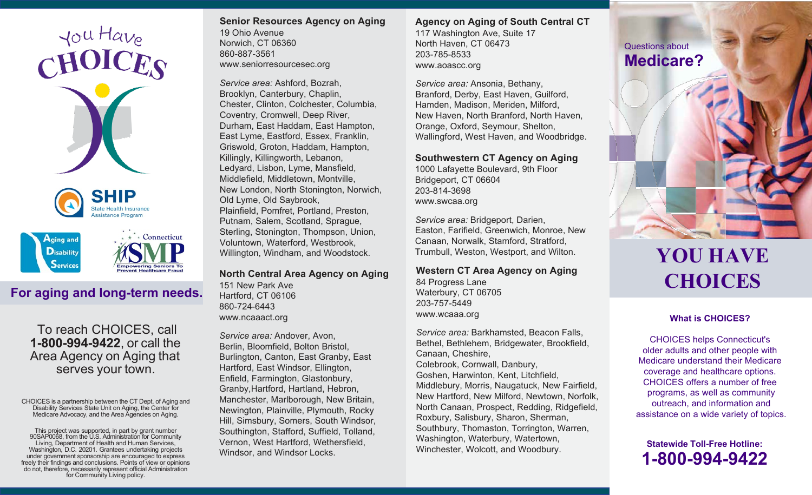



**Assistance Program** 

## **For aging and long-term needs.**

To reach CHOICES, call **1-800-994-9422**, or call the Area Agency on Aging that serves your town.

CHOICES is a partnership between the CT Dept. of Aging and Disability Services State Unit on Aging, the Center for Medicare Advocacy, and the Area Agencies on Aging.

This project was supported, in part by grant number 90SAP0068, from the U.S. Administration for Community Living, Department of Health and Human Services, Washington, D.C. 20201. Grantees undertaking projects under government sponsorship are encouraged to express freely their findings and conclusions. Points of view or opinions do not, therefore, necessarily represent official Administration for Community Living policy.

#### **Senior Resources Agency on Aging**

19 Ohio Avenue Norwich, CT 06360 860-887-3561 www.seniorresourcesec.org

*Service area:* Ashford, Bozrah, Brooklyn, Canterbury, Chaplin, Chester, Clinton, Colchester, Columbia, Coventry, Cromwell, Deep River, Durham, East Haddam, East Hampton, East Lyme, Eastford, Essex, Franklin, Griswold, Groton, Haddam, Hampton, Killingly, Killingworth, Lebanon, Ledyard, Lisbon, Lyme, Mansfield, Middlefield, Middletown, Montville, New London, North Stonington, Norwich, Old Lyme, Old Saybrook, Plainfield, Pomfret, Portland, Preston, Putnam, Salem, Scotland, Sprague, Sterling, Stonington, Thompson, Union, Voluntown, Waterford, Westbrook, Willington, Windham, and Woodstock.

**North Central Area Agency on Aging**

151 New Park Ave Hartford, CT 06106 860-724-6443 www.ncaaact.org

*[Service area:](http://www.ncaaact.org/)* Andover, Avon, Berlin, Bloomfield, Bolton Bristol, Burlington, Canton, East Granby, East Hartford, East Windsor, Ellington, Enfield, Farmington, Glastonbury, Granby,Hartford, Hartland, Hebron, Manchester, Marlborough, New Britain, Newington, Plainville, Plymouth, Rocky Hill, Simsbury, Somers, South Windsor, Southington, Stafford, Suffield, Tolland, Vernon, West Hartford, Wethersfield, Windsor, and Windsor Locks.

#### **Agency on Aging of South Central CT** 117 Washington Ave, Suite 17 North Haven, CT 06473 203-785-8533

w[ww.aoascc.org](http://www.aoascc.org/)

*Service area:* Ansonia, Bethany, Branford, Derby, East Haven, Guilford, Hamden, Madison, Meriden, Milford, New Haven, North Branford, North Haven, Orange, Oxford, Seymour, Shelton, Wallingford, West Haven, and Woodbridge.

#### **Southwestern CT Agency on Aging**

1000 Lafayette Boulevard, 9th Floor Bridgeport, CT 06604 203-814-3698 www.swcaa.org

*Service area:* Bridgeport, Darien, Easton, Farifield, Greenwich, Monroe, New Canaan, Norwalk, Stamford, Stratford, Trumbull, Weston, Westport, and Wilton.

#### **Western CT Area Agency on Aging**

84 Progress Lane Waterbury, CT 06705 203-757-5449 www.wcaaa.org

*Service area:* Barkhamsted, Beacon Falls, Bethel, Bethlehem, Bridgewater, Brookfield, Canaan, Cheshire, Colebrook, Cornwall, Danbury, Goshen, Harwinton, Kent, Litchfield, Middlebury, Morris, Naugatuck, New Fairfield, New Hartford, New Milford, Newtown, Norfolk, North Canaan, Prospect, Redding, Ridgefield, Roxbury, Salisbury, Sharon, Sherman, Southbury, Thomaston, Torrington, Warren, Washington, Waterbury, Watertown, Winchester, Wolcott, and Woodbury.

# Questions about



# **YOU HAVE CHOICES**

#### **What is CHOICES?**

CHOICES helps Connecticut's older adults and other people with Medicare understand their Medicare coverage and healthcare options. CHOICES offers a number of free programs, as well as community outreach, and information and assistance on a wide variety of topics.

**Statewide Toll-Free Hotline: 1-800-994-9422**